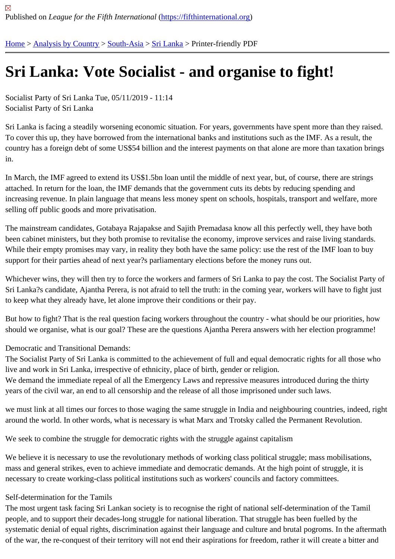# [Sri](https://fifthinternational.org/) [Lanka: Vo](https://fifthinternational.org/category/1)t[e Soc](https://fifthinternational.org/category/1/200)i[alist -](https://fifthinternational.org/category/1/200/208) and organise to fight!

Socialist Party of Sri Lanka Tue, 05/11/2019 - 11:14 Socialist Party of Sri Lanka

Sri Lanka is facing a steadily worsening economic situation. For years, governments have spent more than they ra To cover this up, they have borrowed from the international banks and institutions such as the IMF. As a result, the country has a foreign debt of some US\$54 billion and the interest payments on that alone are more than taxation b in.

In March, the IMF agreed to extend its US\$1.5bn loan until the middle of next year, but, of course, there are string attached. In return for the loan, the IMF demands that the government cuts its debts by reducing spending and increasing revenue. In plain language that means less money spent on schools, hospitals, transport and welfare, r selling off public goods and more privatisation.

The mainstream candidates, Gotabaya Rajapakse and Sajith Premadasa know all this perfectly well, they have bo been cabinet ministers, but they both promise to revitalise the economy, improve services and raise living standard While their empty promises may vary, in reality they both have the same policy: use the rest of the IMF loan to buy support for their parties ahead of next year?s parliamentary elections before the money runs out.

Whichever wins, they will then try to force the workers and farmers of Sri Lanka to pay the cost. The Socialist Part Sri Lanka?s candidate, Ajantha Perera, is not afraid to tell the truth: in the coming year, workers will have to fight ju to keep what they already have, let alone improve their conditions or their pay.

But how to fight? That is the real question facing workers throughout the country - what should be our priorities, ho should we organise, what is our goal? These are the questions Ajantha Perera answers with her election programi

Democratic and Transitional Demands:

The Socialist Party of Sri Lanka is committed to the achievement of full and equal democratic rights for all those w live and work in Sri Lanka, irrespective of ethnicity, place of birth, gender or religion.

We demand the immediate repeal of all the Emergency Laws and repressive measures introduced during the thirty years of the civil war, an end to all censorship and the release of all those imprisoned under such laws.

we must link at all times our forces to those waging the same struggle in India and neighbouring countries, indeed around the world. In other words, what is necessary is what Marx and Trotsky called the Permanent Revolution.

We seek to combine the struggle for democratic rights with the struggle against capitalism

We believe it is necessary to use the revolutionary methods of working class political struggle; mass mobilisations, mass and general strikes, even to achieve immediate and democratic demands. At the high point of struggle, it is necessary to create working-class political institutions such as workers' councils and factory committees.

# Self-determination for the Tamils

The most urgent task facing Sri Lankan society is to recognise the right of national self-determination of the Tamil people, and to support their decades-long struggle for national liberation. That struggle has been fuelled by the systematic denial of equal rights, discrimination against their language and culture and brutal pogroms. In the after of the war, the re-conquest of their territory will not end their aspirations for freedom, rather it will create a bitter an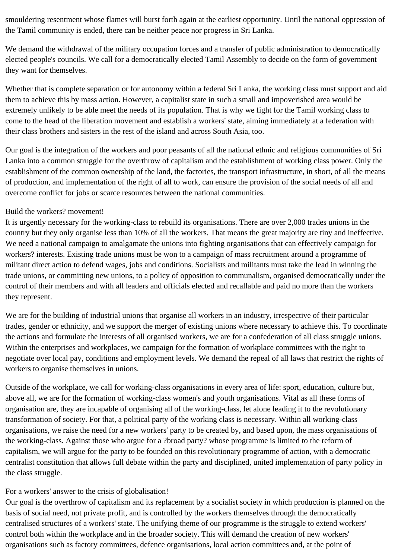smouldering resentment whose flames will burst forth again at the earliest opportunity. Until the national oppression of the Tamil community is ended, there can be neither peace nor progress in Sri Lanka.

We demand the withdrawal of the military occupation forces and a transfer of public administration to democratically elected people's councils. We call for a democratically elected Tamil Assembly to decide on the form of government they want for themselves.

Whether that is complete separation or for autonomy within a federal Sri Lanka, the working class must support and aid them to achieve this by mass action. However, a capitalist state in such a small and impoverished area would be extremely unlikely to be able meet the needs of its population. That is why we fight for the Tamil working class to come to the head of the liberation movement and establish a workers' state, aiming immediately at a federation with their class brothers and sisters in the rest of the island and across South Asia, too.

Our goal is the integration of the workers and poor peasants of all the national ethnic and religious communities of Sri Lanka into a common struggle for the overthrow of capitalism and the establishment of working class power. Only the establishment of the common ownership of the land, the factories, the transport infrastructure, in short, of all the means of production, and implementation of the right of all to work, can ensure the provision of the social needs of all and overcome conflict for jobs or scarce resources between the national communities.

## Build the workers? movement!

It is urgently necessary for the working-class to rebuild its organisations. There are over 2,000 trades unions in the country but they only organise less than 10% of all the workers. That means the great majority are tiny and ineffective. We need a national campaign to amalgamate the unions into fighting organisations that can effectively campaign for workers? interests. Existing trade unions must be won to a campaign of mass recruitment around a programme of militant direct action to defend wages, jobs and conditions. Socialists and militants must take the lead in winning the trade unions, or committing new unions, to a policy of opposition to communalism, organised democratically under the control of their members and with all leaders and officials elected and recallable and paid no more than the workers they represent.

We are for the building of industrial unions that organise all workers in an industry, irrespective of their particular trades, gender or ethnicity, and we support the merger of existing unions where necessary to achieve this. To coordinate the actions and formulate the interests of all organised workers, we are for a confederation of all class struggle unions. Within the enterprises and workplaces, we campaign for the formation of workplace committees with the right to negotiate over local pay, conditions and employment levels. We demand the repeal of all laws that restrict the rights of workers to organise themselves in unions.

Outside of the workplace, we call for working-class organisations in every area of life: sport, education, culture but, above all, we are for the formation of working-class women's and youth organisations. Vital as all these forms of organisation are, they are incapable of organising all of the working-class, let alone leading it to the revolutionary transformation of society. For that, a political party of the working class is necessary. Within all working-class organisations, we raise the need for a new workers' party to be created by, and based upon, the mass organisations of the working-class. Against those who argue for a ?broad party? whose programme is limited to the reform of capitalism, we will argue for the party to be founded on this revolutionary programme of action, with a democratic centralist constitution that allows full debate within the party and disciplined, united implementation of party policy in the class struggle.

## For a workers' answer to the crisis of globalisation!

Our goal is the overthrow of capitalism and its replacement by a socialist society in which production is planned on the basis of social need, not private profit, and is controlled by the workers themselves through the democratically centralised structures of a workers' state. The unifying theme of our programme is the struggle to extend workers' control both within the workplace and in the broader society. This will demand the creation of new workers' organisations such as factory committees, defence organisations, local action committees and, at the point of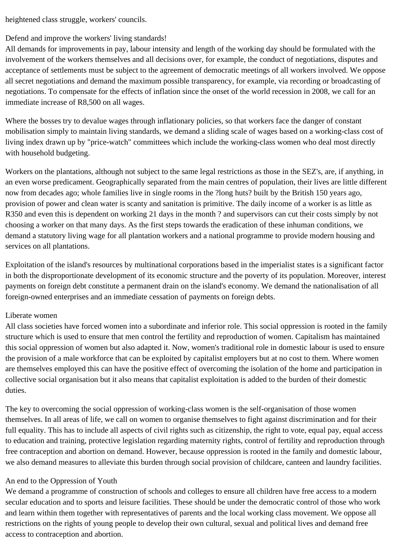heightened class struggle, workers' councils.

# Defend and improve the workers' living standards!

All demands for improvements in pay, labour intensity and length of the working day should be formulated with the involvement of the workers themselves and all decisions over, for example, the conduct of negotiations, disputes and acceptance of settlements must be subject to the agreement of democratic meetings of all workers involved. We oppose all secret negotiations and demand the maximum possible transparency, for example, via recording or broadcasting of negotiations. To compensate for the effects of inflation since the onset of the world recession in 2008, we call for an immediate increase of R8,500 on all wages.

Where the bosses try to devalue wages through inflationary policies, so that workers face the danger of constant mobilisation simply to maintain living standards, we demand a sliding scale of wages based on a working-class cost of living index drawn up by "price-watch" committees which include the working-class women who deal most directly with household budgeting.

Workers on the plantations, although not subject to the same legal restrictions as those in the SEZ's, are, if anything, in an even worse predicament. Geographically separated from the main centres of population, their lives are little different now from decades ago; whole families live in single rooms in the ?long huts? built by the British 150 years ago, provision of power and clean water is scanty and sanitation is primitive. The daily income of a worker is as little as R350 and even this is dependent on working 21 days in the month ? and supervisors can cut their costs simply by not choosing a worker on that many days. As the first steps towards the eradication of these inhuman conditions, we demand a statutory living wage for all plantation workers and a national programme to provide modern housing and services on all plantations.

Exploitation of the island's resources by multinational corporations based in the imperialist states is a significant factor in both the disproportionate development of its economic structure and the poverty of its population. Moreover, interest payments on foreign debt constitute a permanent drain on the island's economy. We demand the nationalisation of all foreign-owned enterprises and an immediate cessation of payments on foreign debts.

#### Liberate women

All class societies have forced women into a subordinate and inferior role. This social oppression is rooted in the family structure which is used to ensure that men control the fertility and reproduction of women. Capitalism has maintained this social oppression of women but also adapted it. Now, women's traditional role in domestic labour is used to ensure the provision of a male workforce that can be exploited by capitalist employers but at no cost to them. Where women are themselves employed this can have the positive effect of overcoming the isolation of the home and participation in collective social organisation but it also means that capitalist exploitation is added to the burden of their domestic duties.

The key to overcoming the social oppression of working-class women is the self-organisation of those women themselves. In all areas of life, we call on women to organise themselves to fight against discrimination and for their full equality. This has to include all aspects of civil rights such as citizenship, the right to vote, equal pay, equal access to education and training, protective legislation regarding maternity rights, control of fertility and reproduction through free contraception and abortion on demand. However, because oppression is rooted in the family and domestic labour, we also demand measures to alleviate this burden through social provision of childcare, canteen and laundry facilities.

## An end to the Oppression of Youth

We demand a programme of construction of schools and colleges to ensure all children have free access to a modern secular education and to sports and leisure facilities. These should be under the democratic control of those who work and learn within them together with representatives of parents and the local working class movement. We oppose all restrictions on the rights of young people to develop their own cultural, sexual and political lives and demand free access to contraception and abortion.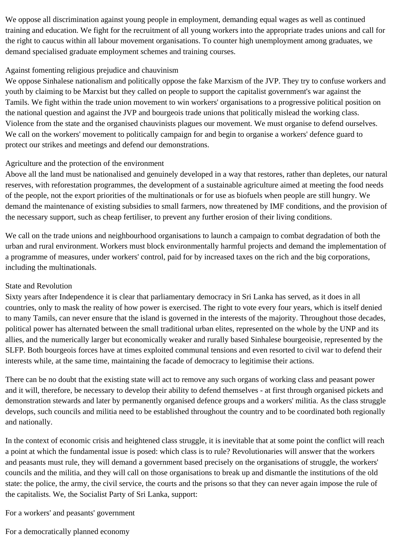We oppose all discrimination against young people in employment, demanding equal wages as well as continued training and education. We fight for the recruitment of all young workers into the appropriate trades unions and call for the right to caucus within all labour movement organisations. To counter high unemployment among graduates, we demand specialised graduate employment schemes and training courses.

# Against fomenting religious prejudice and chauvinism

We oppose Sinhalese nationalism and politically oppose the fake Marxism of the JVP. They try to confuse workers and youth by claiming to be Marxist but they called on people to support the capitalist government's war against the Tamils. We fight within the trade union movement to win workers' organisations to a progressive political position on the national question and against the JVP and bourgeois trade unions that politically mislead the working class. Violence from the state and the organised chauvinists plagues our movement. We must organise to defend ourselves. We call on the workers' movement to politically campaign for and begin to organise a workers' defence guard to protect our strikes and meetings and defend our demonstrations.

# Agriculture and the protection of the environment

Above all the land must be nationalised and genuinely developed in a way that restores, rather than depletes, our natural reserves, with reforestation programmes, the development of a sustainable agriculture aimed at meeting the food needs of the people, not the export priorities of the multinationals or for use as biofuels when people are still hungry. We demand the maintenance of existing subsidies to small farmers, now threatened by IMF conditions, and the provision of the necessary support, such as cheap fertiliser, to prevent any further erosion of their living conditions.

We call on the trade unions and neighbourhood organisations to launch a campaign to combat degradation of both the urban and rural environment. Workers must block environmentally harmful projects and demand the implementation of a programme of measures, under workers' control, paid for by increased taxes on the rich and the big corporations, including the multinationals.

## State and Revolution

Sixty years after Independence it is clear that parliamentary democracy in Sri Lanka has served, as it does in all countries, only to mask the reality of how power is exercised. The right to vote every four years, which is itself denied to many Tamils, can never ensure that the island is governed in the interests of the majority. Throughout those decades, political power has alternated between the small traditional urban elites, represented on the whole by the UNP and its allies, and the numerically larger but economically weaker and rurally based Sinhalese bourgeoisie, represented by the SLFP. Both bourgeois forces have at times exploited communal tensions and even resorted to civil war to defend their interests while, at the same time, maintaining the facade of democracy to legitimise their actions.

There can be no doubt that the existing state will act to remove any such organs of working class and peasant power and it will, therefore, be necessary to develop their ability to defend themselves - at first through organised pickets and demonstration stewards and later by permanently organised defence groups and a workers' militia. As the class struggle develops, such councils and militia need to be established throughout the country and to be coordinated both regionally and nationally.

In the context of economic crisis and heightened class struggle, it is inevitable that at some point the conflict will reach a point at which the fundamental issue is posed: which class is to rule? Revolutionaries will answer that the workers and peasants must rule, they will demand a government based precisely on the organisations of struggle, the workers' councils and the militia, and they will call on those organisations to break up and dismantle the institutions of the old state: the police, the army, the civil service, the courts and the prisons so that they can never again impose the rule of the capitalists. We, the Socialist Party of Sri Lanka, support:

For a workers' and peasants' government

For a democratically planned economy